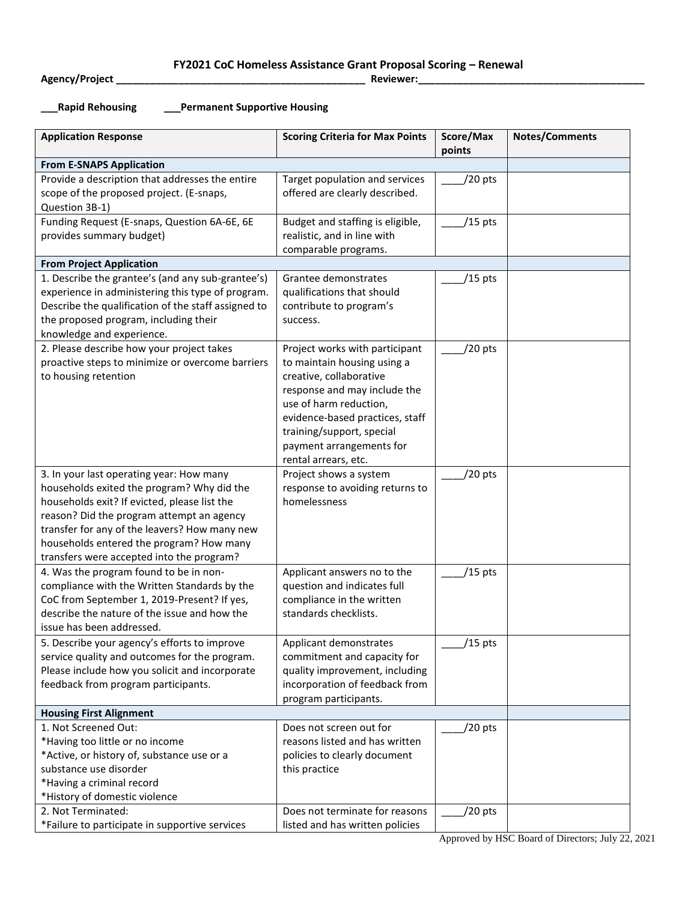## **\_\_\_Rapid Rehousing \_\_\_Permanent Supportive Housing**

| <b>Application Response</b>                         | <b>Scoring Criteria for Max Points</b> | Score/Max | <b>Notes/Comments</b> |
|-----------------------------------------------------|----------------------------------------|-----------|-----------------------|
|                                                     |                                        | points    |                       |
| <b>From E-SNAPS Application</b>                     |                                        |           |                       |
| Provide a description that addresses the entire     | Target population and services         | /20 pts   |                       |
| scope of the proposed project. (E-snaps,            | offered are clearly described.         |           |                       |
| Question 3B-1)                                      |                                        |           |                       |
| Funding Request (E-snaps, Question 6A-6E, 6E        | Budget and staffing is eligible,       | $/15$ pts |                       |
| provides summary budget)                            | realistic, and in line with            |           |                       |
|                                                     | comparable programs.                   |           |                       |
| <b>From Project Application</b>                     |                                        |           |                       |
| 1. Describe the grantee's (and any sub-grantee's)   | Grantee demonstrates                   | /15 pts   |                       |
| experience in administering this type of program.   | qualifications that should             |           |                       |
| Describe the qualification of the staff assigned to | contribute to program's                |           |                       |
| the proposed program, including their               | success.                               |           |                       |
| knowledge and experience.                           |                                        |           |                       |
| 2. Please describe how your project takes           | Project works with participant         | /20 pts   |                       |
| proactive steps to minimize or overcome barriers    | to maintain housing using a            |           |                       |
| to housing retention                                | creative, collaborative                |           |                       |
|                                                     | response and may include the           |           |                       |
|                                                     | use of harm reduction,                 |           |                       |
|                                                     | evidence-based practices, staff        |           |                       |
|                                                     | training/support, special              |           |                       |
|                                                     | payment arrangements for               |           |                       |
|                                                     | rental arrears, etc.                   |           |                       |
| 3. In your last operating year: How many            | Project shows a system                 | /20 pts   |                       |
| households exited the program? Why did the          | response to avoiding returns to        |           |                       |
| households exit? If evicted, please list the        | homelessness                           |           |                       |
| reason? Did the program attempt an agency           |                                        |           |                       |
| transfer for any of the leavers? How many new       |                                        |           |                       |
| households entered the program? How many            |                                        |           |                       |
| transfers were accepted into the program?           |                                        |           |                       |
| 4. Was the program found to be in non-              | Applicant answers no to the            | $/15$ pts |                       |
| compliance with the Written Standards by the        | question and indicates full            |           |                       |
| CoC from September 1, 2019-Present? If yes,         | compliance in the written              |           |                       |
| describe the nature of the issue and how the        | standards checklists.                  |           |                       |
| issue has been addressed.                           |                                        |           |                       |
| 5. Describe your agency's efforts to improve        | Applicant demonstrates                 | /15 pts   |                       |
| service quality and outcomes for the program.       | commitment and capacity for            |           |                       |
| Please include how you solicit and incorporate      | quality improvement, including         |           |                       |
| feedback from program participants.                 | incorporation of feedback from         |           |                       |
|                                                     | program participants.                  |           |                       |
| <b>Housing First Alignment</b>                      |                                        |           |                       |
| 1. Not Screened Out:                                | Does not screen out for                | /20 pts   |                       |
| *Having too little or no income                     | reasons listed and has written         |           |                       |
| *Active, or history of, substance use or a          | policies to clearly document           |           |                       |
| substance use disorder                              | this practice                          |           |                       |
| *Having a criminal record                           |                                        |           |                       |
| *History of domestic violence                       |                                        |           |                       |
| 2. Not Terminated:                                  | Does not terminate for reasons         | /20 pts   |                       |
| *Failure to participate in supportive services      | listed and has written policies        |           |                       |